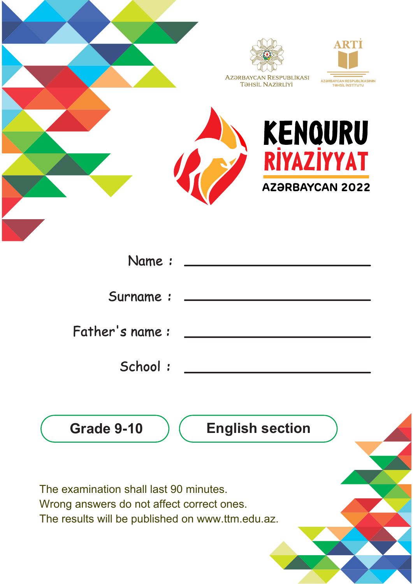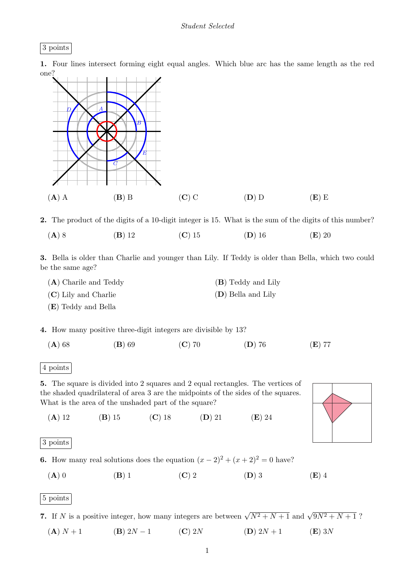

1. Four lines intersect forming eight equal angles. Which blue arc has the same length as the red one?



2. The product of the digits of a 10-digit integer is 15. What is the sum of the digits of this number? (A) 8 (B) 12 (C) 15 (D) 16 (E) 20

3. Bella is older than Charlie and younger than Lily. If Teddy is older than Bella, which two could be the same age?

| $(A)$ Charile and Teddy | (B) Teddy and Lily   |
|-------------------------|----------------------|
| $(C)$ Lily and Charlie  | $(D)$ Bella and Lily |
| (E) Teddy and Bella     |                      |

4. How many positive three-digit integers are divisible by 13?

(A) 68 (B) 69 (C) 70 (D) 76 (E) 77

4 points

5. The square is divided into 2 squares and 2 equal rectangles. The vertices of the shaded quadrilateral of area 3 are the midpoints of the sides of the squares. What is the area of the unshaded part of the square?

(A) 12 (B) 15 (C) 18 (D) 21 (E) 24

```
3 points
```
- 6. How many real solutions does the equation  $(x 2)^2 + (x + 2)^2 = 0$  have?
	- (A) 0 (B) 1 (C) 2 (D) 3 (E) 4

5 points

7. If N is a positive integer, how many integers are between  $\sqrt{N^2 + N + 1}$  and  $\sqrt{9N^2 + N + 1}$ ?

(A)  $N + 1$  (B)  $2N - 1$  (C)  $2N$  (D)  $2N + 1$  (E)  $3N$ 

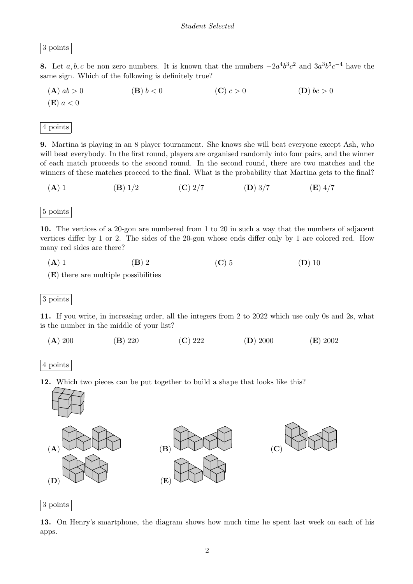3 points

**8.** Let  $a, b, c$  be non zero numbers. It is known that the numbers  $-2a^4b^3c^2$  and  $3a^3b^5c^{-4}$  have the same sign. Which of the following is definitely true?

**(A)** 
$$
ab > 0
$$
   
**(B)**  $b < 0$    
**(C)**  $c > 0$    
**(D)**  $bc > 0$ 

4 points

9. Martina is playing in an 8 player tournament. She knows she will beat everyone except Ash, who will beat everybody. In the first round, players are organised randomly into four pairs, and the winner of each match proceeds to the second round. In the second round, there are two matches and the winners of these matches proceed to the final. What is the probability that Martina gets to the final?

(A) 1 (B)  $1/2$  (C)  $2/7$  (D)  $3/7$  (E)  $4/7$ 

5 points

10. The vertices of a 20-gon are numbered from 1 to 20 in such a way that the numbers of adjacent vertices differ by 1 or 2. The sides of the 20-gon whose ends differ only by 1 are colored red. How many red sides are there?

(A) 1 (B) 2 (C) 5 (D) 10

(E) there are multiple possibilities

3 points

11. If you write, in increasing order, all the integers from 2 to 2022 which use only 0s and 2s, what is the number in the middle of your list?

(A) 200 (B) 220 (C) 222 (D) 2000 (E) 2002



12. Which two pieces can be put together to build a shape that looks like this?



3 points

13. On Henry's smartphone, the diagram shows how much time he spent last week on each of his apps.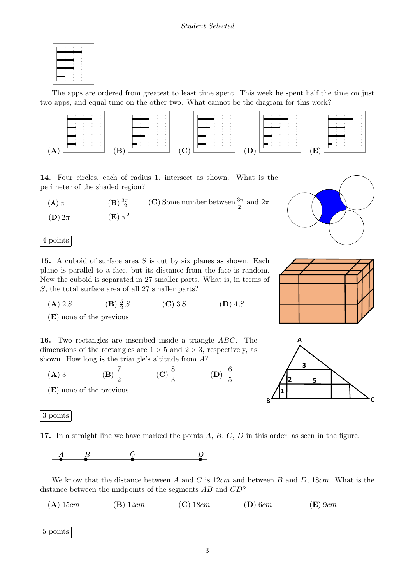The apps are ordered from greatest to least time spent. This week he spent half the time on just two apps, and equal time on the other two. What cannot be the diagram for this week?



14. Four circles, each of radius 1, intersect as shown. What is the perimeter of the shaded region?

(**A**)  $\pi$  (**B**)  $\frac{3\pi}{2}$  (**C**) Some number between  $\frac{3\pi}{2}$  and  $2\pi$  $(\mathbf{E}) \pi^2$ (**D**) 2π



**15.** A cuboid of surface area  $S$  is cut by six planes as shown. Each plane is parallel to a face, but its distance from the face is random. Now the cuboid is separated in 27 smaller parts. What is, in terms of S, the total surface area of all 27 smaller parts?

 $(A)$  2 S 5 2  $(\mathbf{C})$  3 S  $(\mathbf{D})$  4 S

(E) none of the previous

16. Two rectangles are inscribed inside a triangle ABC. The dimensions of the rectangles are  $1 \times 5$  and  $2 \times 3$ , respectively, as shown. How long is the triangle's altitude from A?

- $(A)$  3 7  $\frac{7}{2}$  (C)  $\frac{8}{3}$  $\frac{8}{3}$  (D)  $\frac{6}{5}$ 5
- (E) none of the previous

3 points

17. In a straight line we have marked the points  $A, B, C, D$  in this order, as seen in the figure.

 $\overline{C}$  $\frac{B}{2}$  $\overline{D}$ 

We know that the distance between A and C is  $12cm$  and between B and D, 18cm. What is the distance between the midpoints of the segments AB and CD?

(A)  $15cm$  (B)  $12cm$  (C)  $18cm$  (D)  $6cm$  (E)  $9cm$ 

5 points





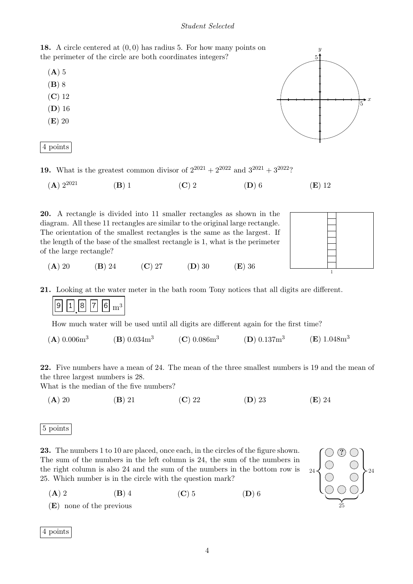## Student Selected

18. A circle centered at (0, 0) has radius 5. For how many points on the perimeter of the circle are both coordinates integers?

- $(A)$  5
- (B) 8
- (C) 12
- (D) 16
- (E) 20

|  | DOINES |
|--|--------|
|--|--------|



- **19.** What is the greatest common divisor of  $2^{2021} + 2^{2022}$  and  $3^{2021} + 3^{2022}$ ?
	- (A)  $2^{2021}$  (B) 1 (C) 2 (D) 6 (E) 12

20. A rectangle is divided into 11 smaller rectangles as shown in the diagram. All these 11 rectangles are similar to the original large rectangle. The orientation of the smallest rectangles is the same as the largest. If the length of the base of the smallest rectangle is 1, what is the perimeter of the large rectangle?



(A) 20 (B) 24 (C) 27 (D) 30 (E) 36

21. Looking at the water meter in the bath room Tony notices that all digits are different.



How much water will be used until all digits are different again for the first time?

 $(A) 0.006m<sup>3</sup>$  $(B) 0.034m<sup>3</sup>$  $(C)$  0.086 $m<sup>3</sup>$  $(D)$  0.137 $m<sup>3</sup>$  $(E) 1.048m<sup>3</sup>$ 

22. Five numbers have a mean of 24. The mean of the three smallest numbers is 19 and the mean of the three largest numbers is 28.

What is the median of the five numbers?

(A) 20 (B) 21 (C) 22 (D) 23 (E) 24

## 5 points

23. The numbers 1 to 10 are placed, once each, in the circles of the figure shown. The sum of the numbers in the left column is 24, the sum of the numbers in the right column is also 24 and the sum of the numbers in the bottom row is 25. Which number is in the circle with the question mark?



(A) 2 (B) 4 (C) 5 (D) 6

(E) none of the previous

4 points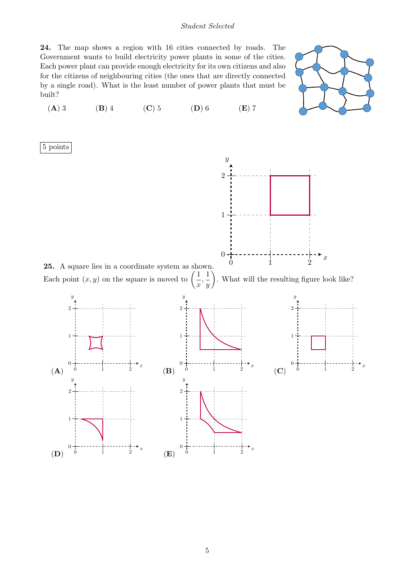## Student Selected

24. The map shows a region with 16 cities connected by roads. The Government wants to build electricity power plants in some of the cities. Each power plant can provide enough electricity for its own citizens and also for the citizens of neighbouring cities (the ones that are directly connected by a single road). What is the least number of power plants that must be built?

(A) 3 (B) 4 (C) 5 (D) 6 (E) 7



5 points

(D)

 $\Omega$ 

1

0 1 2

x

(E)

0

1



25. A square lies in a coordinate system as shown. Each point  $\left(x,y\right)$  on the square is moved to 1



0 1 2

 $\cdot$ <sub>x</sub>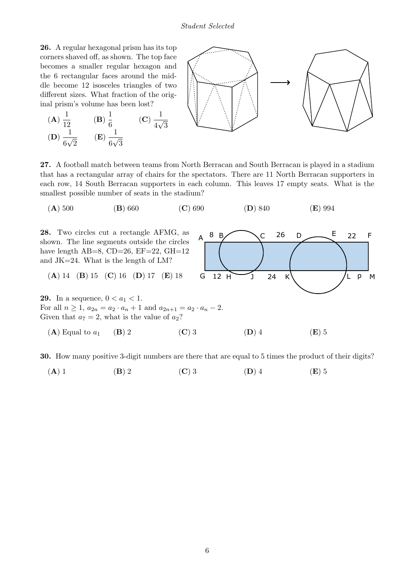## Student Selected

26. A regular hexagonal prism has its top corners shaved off, as shown. The top face becomes a smaller regular hexagon and the 6 rectangular faces around the middle become 12 isosceles triangles of two different sizes. What fraction of the original prism's volume has been lost?

(**A**) 
$$
\frac{1}{12}
$$
 (**B**)  $\frac{1}{6}$  (**C**)  
(**D**)  $\frac{1}{6\sqrt{2}}$  (**E**)  $\frac{1}{6\sqrt{3}}$ 



27. A football match between teams from North Berracan and South Berracan is played in a stadium that has a rectangular array of chairs for the spectators. There are 11 North Berracan supporters in each row, 14 South Berracan supporters in each column. This leaves 17 empty seats. What is the smallest possible number of seats in the stadium?

$$
(A) 500 \t\t (B) 660 \t\t (C) 690 \t\t (D) 840 \t\t (E) 994
$$



30. How many positive 3-digit numbers are there that are equal to 5 times the product of their digits?

$$
(A) 1 \t\t (B) 2 \t\t (C) 3 \t\t (D) 4 \t\t (E) 5
$$